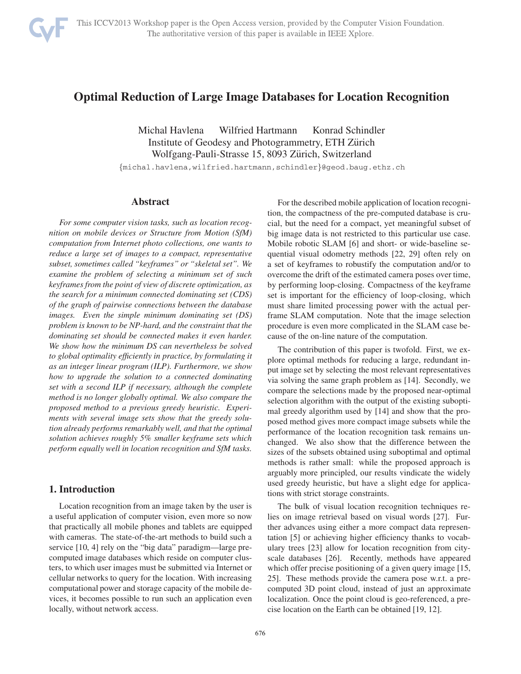

# **Optimal Reduction of Large Image Databases for Location Recognition**

Michal Havlena Wilfried Hartmann Konrad Schindler Institute of Geodesy and Photogrammetry, ETH Zürich Wolfgang-Pauli-Strasse 15, 8093 Zürich, Switzerland

{michal.havlena,wilfried.hartmann,schindler}@geod.baug.ethz.ch

### **Abstract**

*For some computer vision tasks, such as location recognition on mobile devices or Structure from Motion (SfM) computation from Internet photo collections, one wants to reduce a large set of images to a compact, representative subset, sometimes called "keyframes" or "skeletal set". We examine the problem of selecting a minimum set of such keyframes from the point of view of discrete optimization, as the search for a minimum connected dominating set (CDS) of the graph of pairwise connections between the database images. Even the simple minimum dominating set (DS) problem is known to be NP-hard, and the constraint that the dominating set should be connected makes it even harder. We show how the minimum DS can nevertheless be solved to global optimality efficiently in practice, by formulating it as an integer linear program (ILP). Furthermore, we show how to upgrade the solution to a connected dominating set with a second ILP if necessary, although the complete method is no longer globally optimal. We also compare the proposed method to a previous greedy heuristic. Experiments with several image sets show that the greedy solution already performs remarkably well, and that the optimal solution achieves roughly 5% smaller keyframe sets which perform equally well in location recognition and SfM tasks.*

# **1. Introduction**

Location recognition from an image taken by the user is a useful application of computer vision, even more so now that practically all mobile phones and tablets are equipped with cameras. The state-of-the-art methods to build such a service [10, 4] rely on the "big data" paradigm—large precomputed image databases which reside on computer clusters, to which user images must be submitted via Internet or cellular networks to query for the location. With increasing computational power and storage capacity of the mobile devices, it becomes possible to run such an application even locally, without network access.

For the described mobile application of location recognition, the compactness of the pre-computed database is crucial, but the need for a compact, yet meaningful subset of big image data is not restricted to this particular use case. Mobile robotic SLAM [6] and short- or wide-baseline sequential visual odometry methods [22, 29] often rely on a set of keyframes to robustify the computation and/or to overcome the drift of the estimated camera poses over time, by performing loop-closing. Compactness of the keyframe set is important for the efficiency of loop-closing, which must share limited processing power with the actual perframe SLAM computation. Note that the image selection procedure is even more complicated in the SLAM case because of the on-line nature of the computation.

The contribution of this paper is twofold. First, we explore optimal methods for reducing a large, redundant input image set by selecting the most relevant representatives via solving the same graph problem as [14]. Secondly, we compare the selections made by the proposed near-optimal selection algorithm with the output of the existing suboptimal greedy algorithm used by [14] and show that the proposed method gives more compact image subsets while the performance of the location recognition task remains unchanged. We also show that the difference between the sizes of the subsets obtained using suboptimal and optimal methods is rather small: while the proposed approach is arguably more principled, our results vindicate the widely used greedy heuristic, but have a slight edge for applications with strict storage constraints.

The bulk of visual location recognition techniques relies on image retrieval based on visual words [27]. Further advances using either a more compact data representation [5] or achieving higher efficiency thanks to vocabulary trees [23] allow for location recognition from cityscale databases [26]. Recently, methods have appeared which offer precise positioning of a given query image [15, 25]. These methods provide the camera pose w.r.t. a precomputed 3D point cloud, instead of just an approximate localization. Once the point cloud is geo-referenced, a precise location on the Earth can be obtained [19, 12].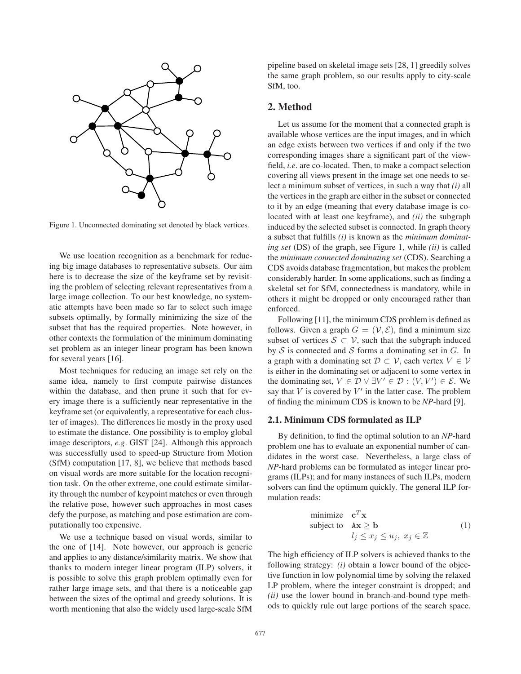

Figure 1. Unconnected dominating set denoted by black vertices.

We use location recognition as a benchmark for reducing big image databases to representative subsets. Our aim here is to decrease the size of the keyframe set by revisiting the problem of selecting relevant representatives from a large image collection. To our best knowledge, no systematic attempts have been made so far to select such image subsets optimally, by formally minimizing the size of the subset that has the required properties. Note however, in other contexts the formulation of the minimum dominating set problem as an integer linear program has been known for several years [16].

Most techniques for reducing an image set rely on the same idea, namely to first compute pairwise distances within the database, and then prune it such that for every image there is a sufficiently near representative in the keyframe set (or equivalently, a representative for each cluster of images). The differences lie mostly in the proxy used to estimate the distance. One possibility is to employ global image descriptors, *e.g*. GIST [24]. Although this approach was successfully used to speed-up Structure from Motion (SfM) computation [17, 8], we believe that methods based on visual words are more suitable for the location recognition task. On the other extreme, one could estimate similarity through the number of keypoint matches or even through the relative pose, however such approaches in most cases defy the purpose, as matching and pose estimation are computationally too expensive.

We use a technique based on visual words, similar to the one of [14]. Note however, our approach is generic and applies to any distance/similarity matrix. We show that thanks to modern integer linear program (ILP) solvers, it is possible to solve this graph problem optimally even for rather large image sets, and that there is a noticeable gap between the sizes of the optimal and greedy solutions. It is worth mentioning that also the widely used large-scale SfM pipeline based on skeletal image sets [28, 1] greedily solves the same graph problem, so our results apply to city-scale SfM, too.

# **2. Method**

Let us assume for the moment that a connected graph is available whose vertices are the input images, and in which an edge exists between two vertices if and only if the two corresponding images share a significant part of the viewfield, *i.e*. are co-located. Then, to make a compact selection covering all views present in the image set one needs to select a minimum subset of vertices, in such a way that *(i)* all the vertices in the graph are either in the subset or connected to it by an edge (meaning that every database image is colocated with at least one keyframe), and *(ii)* the subgraph induced by the selected subset is connected. In graph theory a subset that fulfills *(i)* is known as the *minimum dominating set* (DS) of the graph, see Figure 1, while *(ii)* is called the *minimum connected dominating set* (CDS). Searching a CDS avoids database fragmentation, but makes the problem considerably harder. In some applications, such as finding a skeletal set for SfM, connectedness is mandatory, while in others it might be dropped or only encouraged rather than enforced.

Following [11], the minimum CDS problem is defined as follows. Given a graph  $G = (\mathcal{V}, \mathcal{E})$ , find a minimum size subset of vertices  $S \subset V$ , such that the subgraph induced by  $S$  is connected and  $S$  forms a dominating set in  $G$ . In a graph with a dominating set  $\mathcal{D} \subset \mathcal{V}$ , each vertex  $V \in \mathcal{V}$ is either in the dominating set or adjacent to some vertex in the dominating set,  $V \in \mathcal{D} \vee \exists V' \in \mathcal{D} : (V, V') \in \mathcal{E}$ . We say that *V* is covered by *V'* in the latter case. The problem say that  $V$  is covered by  $V'$  in the latter case. The problem of finding the minimum CDS is known to be *NP*-hard [9].

# **2.1. Minimum CDS formulated as ILP**

By definition, to find the optimal solution to an *NP*-hard problem one has to evaluate an exponential number of candidates in the worst case. Nevertheless, a large class of *NP*-hard problems can be formulated as integer linear programs (ILPs); and for many instances of such ILPs, modern solvers can find the optimum quickly. The general ILP formulation reads:

minimize 
$$
\mathbf{c}^T \mathbf{x}
$$
  
subject to  $\mathbf{A}\mathbf{x} \ge \mathbf{b}$   
 $l_j \le x_j \le u_j, x_j \in \mathbb{Z}$  (1)

The high efficiency of ILP solvers is achieved thanks to the following strategy: *(i)* obtain a lower bound of the objective function in low polynomial time by solving the relaxed LP problem, where the integer constraint is dropped; and *(ii)* use the lower bound in branch-and-bound type methods to quickly rule out large portions of the search space.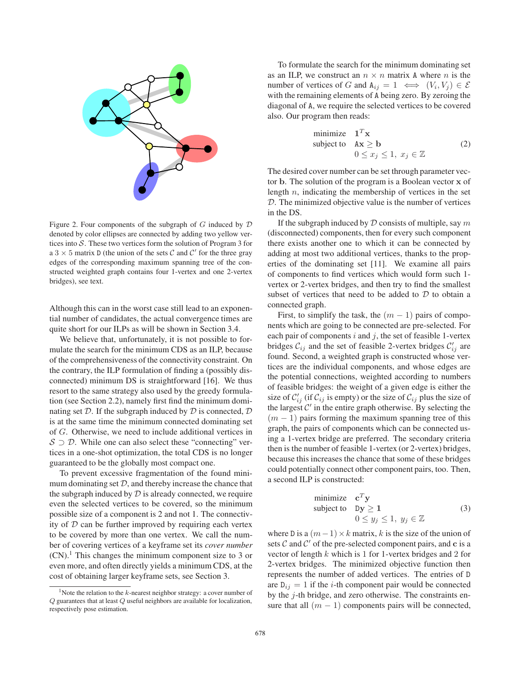

Figure 2. Four components of the subgraph of  $G$  induced by  $D$ denoted by color ellipses are connected by adding two yellow vertices into  $S$ . These two vertices form the solution of Program 3 for a  $3 \times 5$  matrix D (the union of the sets C and C' for the three gray edges of the corresponding maximum spanning tree of the constructed weighted graph contains four 1-vertex and one 2-vertex bridges), see text.

Although this can in the worst case still lead to an exponential number of candidates, the actual convergence times are quite short for our ILPs as will be shown in Section 3.4.

We believe that, unfortunately, it is not possible to formulate the search for the minimum CDS as an ILP, because of the comprehensiveness of the connectivity constraint. On the contrary, the ILP formulation of finding a (possibly disconnected) minimum DS is straightforward [16]. We thus resort to the same strategy also used by the greedy formulation (see Section 2.2), namely first find the minimum dominating set  $D$ . If the subgraph induced by  $D$  is connected,  $D$ is at the same time the minimum connected dominating set of *G*. Otherwise, we need to include additional vertices in  $S \supseteq D$ . While one can also select these "connecting" vertices in a one-shot optimization, the total CDS is no longer guaranteed to be the globally most compact one.

To prevent excessive fragmentation of the found minimum dominating set  $D$ , and thereby increase the chance that the subgraph induced by  $D$  is already connected, we require even the selected vertices to be covered, so the minimum possible size of a component is 2 and not 1. The connectivity of  $D$  can be further improved by requiring each vertex to be covered by more than one vertex. We call the number of covering vertices of a keyframe set its *cover number*  $(CN)$ .<sup>1</sup> This changes the minimum component size to 3 or even more, and often directly yields a minimum CDS, at the cost of obtaining larger keyframe sets, see Section 3.

To formulate the search for the minimum dominating set as an ILP, we construct an  $n \times n$  matrix A where *n* is the number of vertices of *G* and  $A_{ij} = 1 \iff (V_i, V_j) \in \mathcal{E}$ with the remaining elements of A being zero. By zeroing the diagonal of A, we require the selected vertices to be covered also. Our program then reads:

minimize 
$$
\mathbf{1}^T \mathbf{x}
$$
  
subject to  $\mathbf{A}\mathbf{x} \ge \mathbf{b}$   
 $0 \le x_j \le 1, x_j \in \mathbb{Z}$  (2)

The desired cover number can be set through parameter vector **b**. The solution of the program is a Boolean vector **x** of length *n*, indicating the membership of vertices in the set D. The minimized objective value is the number of vertices in the DS.

If the subgraph induced by D consists of multiple, say *m* (disconnected) components, then for every such component there exists another one to which it can be connected by adding at most two additional vertices, thanks to the properties of the dominating set [11]. We examine all pairs of components to find vertices which would form such 1 vertex or 2-vertex bridges, and then try to find the smallest subset of vertices that need to be added to  $D$  to obtain a connected graph.

First, to simplify the task, the  $(m - 1)$  pairs of components which are going to be connected are pre-selected. For each pair of components *i* and *j*, the set of feasible 1-vertex bridges  $\mathcal{C}_{ij}$  and the set of feasible 2-vertex bridges  $\mathcal{C}'_{ij}$  are found. Second, a weighted graph is constructed whose vertices are the individual components, and whose edges are the potential connections, weighted according to numbers of feasible bridges: the weight of a given edge is either the size of  $C'_{ij}$  (if  $C_{ij}$  is empty) or the size of  $C_{ij}$  plus the size of the largest  $C'$  in the entire graph otherwise. By selecting the  $(m - 1)$  pairs forming the maximum spanning tree of this graph, the pairs of components which can be connected using a 1-vertex bridge are preferred. The secondary criteria then is the number of feasible 1-vertex (or 2-vertex) bridges, because this increases the chance that some of these bridges could potentially connect other component pairs, too. Then, a second ILP is constructed:

minimize 
$$
\mathbf{c}^T \mathbf{y}
$$
  
subject to  $\mathbf{D}\mathbf{y} \ge \mathbf{1}$   
 $0 \le y_j \le 1, y_j \in \mathbb{Z}$  (3)

where D is a  $(m-1) \times k$  matrix, *k* is the size of the union of sets  $C$  and  $C'$  of the pre-selected component pairs, and  $c$  is a vector of length *<sup>k</sup>* which is 1 for 1-vertex bridges and 2 for 2-vertex bridges. The minimized objective function then represents the number of added vertices. The entries of D are  $D_{ij} = 1$  if the *i*-th component pair would be connected by the *j*-th bridge, and zero otherwise. The constraints ensure that all  $(m - 1)$  components pairs will be connected,

<sup>&</sup>lt;sup>1</sup>Note the relation to the  $k$ -nearest neighbor strategy: a cover number of Q guarantees that at least Q useful neighbors are available for localization, respectively pose estimation.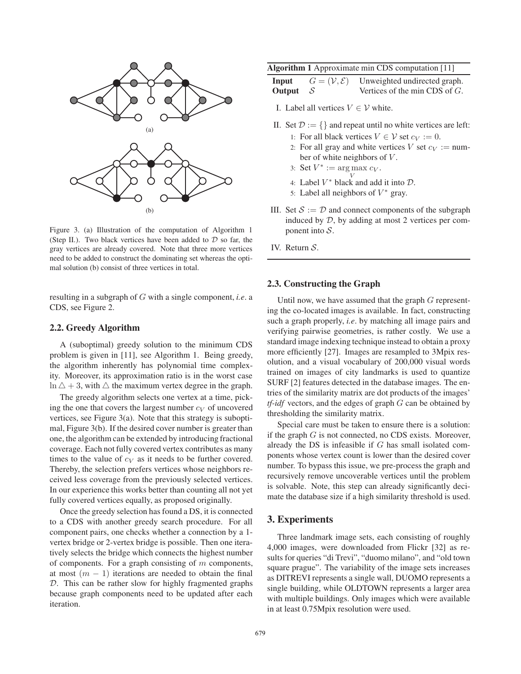

Figure 3. (a) Illustration of the computation of Algorithm 1 (Step II.). Two black vertices have been added to  $D$  so far, the gray vertices are already covered. Note that three more vertices need to be added to construct the dominating set whereas the optimal solution (b) consist of three vertices in total.

resulting in a subgraph of *G* with a single component, *i.e*. a CDS, see Figure 2.

### **2.2. Greedy Algorithm**

A (suboptimal) greedy solution to the minimum CDS problem is given in [11], see Algorithm 1. Being greedy, the algorithm inherently has polynomial time complexity. Moreover, its approximation ratio is in the worst case  $\ln \Delta + 3$ , with  $\Delta$  the maximum vertex degree in the graph.

The greedy algorithm selects one vertex at a time, picking the one that covers the largest number  $c_V$  of uncovered vertices, see Figure 3(a). Note that this strategy is suboptimal, Figure 3(b). If the desired cover number is greater than one, the algorithm can be extended by introducing fractional coverage. Each not fully covered vertex contributes as many times to the value of  $c_V$  as it needs to be further covered. Thereby, the selection prefers vertices whose neighbors received less coverage from the previously selected vertices. In our experience this works better than counting all not yet fully covered vertices equally, as proposed originally.

Once the greedy selection has found a DS, it is connected to a CDS with another greedy search procedure. For all component pairs, one checks whether a connection by a 1 vertex bridge or 2-vertex bridge is possible. Then one iteratively selects the bridge which connects the highest number of components. For a graph consisting of *m* components, at most  $(m - 1)$  iterations are needed to obtain the final D. This can be rather slow for highly fragmented graphs because graph components need to be updated after each iteration.

|  | <b>Algorithm 1</b> Approximate min CDS computation [11] |  |  |
|--|---------------------------------------------------------|--|--|
|  |                                                         |  |  |

| Input      | $G=(\mathcal{V},\mathcal{E})$ | Unweighted undirected graph.     |
|------------|-------------------------------|----------------------------------|
| Output $S$ |                               | Vertices of the min CDS of $G$ . |

I. Label all vertices  $V \in V$  white.

- II. Set  $\mathcal{D} := \{\}$  and repeat until no white vertices are left:
	- 1: For all black vertices  $V \in V$  set  $c_V := 0$ .
	- 2: For all gray and white vertices *V* set  $c_V := \text{num}$ ber of white neighbors of *V* .
	- 3: Set  $V^* := \argmax_V c_V$ .
	- 4: Label  $V^*$  black and add it into  $\mathcal{D}$ .
	- 5: Label all neighbors of  $V^*$  gray.
- III. Set  $S := D$  and connect components of the subgraph induced by  $D$ , by adding at most 2 vertices per component into  $S$ .
- IV. Return S.

#### **2.3. Constructing the Graph**

Until now, we have assumed that the graph *G* representing the co-located images is available. In fact, constructing such a graph properly, *i.e*. by matching all image pairs and verifying pairwise geometries, is rather costly. We use a standard image indexing technique instead to obtain a proxy more efficiently [27]. Images are resampled to 3Mpix resolution, and a visual vocabulary of 200,000 visual words trained on images of city landmarks is used to quantize SURF [2] features detected in the database images. The entries of the similarity matrix are dot products of the images' *tf-idf* vectors, and the edges of graph *G* can be obtained by thresholding the similarity matrix.

Special care must be taken to ensure there is a solution: if the graph *G* is not connected, no CDS exists. Moreover, already the DS is infeasible if *G* has small isolated components whose vertex count is lower than the desired cover number. To bypass this issue, we pre-process the graph and recursively remove uncoverable vertices until the problem is solvable. Note, this step can already significantly decimate the database size if a high similarity threshold is used.

### **3. Experiments**

Three landmark image sets, each consisting of roughly 4,000 images, were downloaded from Flickr [32] as results for queries "di Trevi", "duomo milano", and "old town square prague". The variability of the image sets increases as DITREVI represents a single wall, DUOMO represents a single building, while OLDTOWN represents a larger area with multiple buildings. Only images which were available in at least 0.75Mpix resolution were used.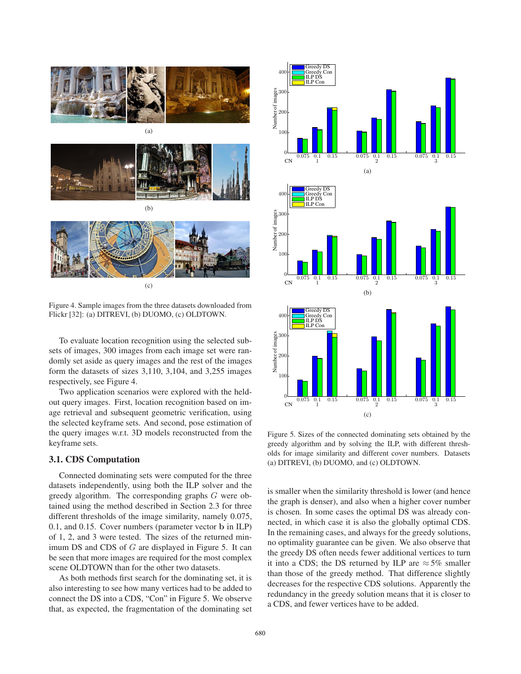

(c)

Figure 4. Sample images from the three datasets downloaded from Flickr [32]: (a) DITREVI, (b) DUOMO, (c) OLDTOWN.

To evaluate location recognition using the selected subsets of images, 300 images from each image set were randomly set aside as query images and the rest of the images form the datasets of sizes 3,110, 3,104, and 3,255 images respectively, see Figure 4.

Two application scenarios were explored with the heldout query images. First, location recognition based on image retrieval and subsequent geometric verification, using the selected keyframe sets. And second, pose estimation of the query images w.r.t. 3D models reconstructed from the keyframe sets.

#### **3.1. CDS Computation**

Connected dominating sets were computed for the three datasets independently, using both the ILP solver and the greedy algorithm. The corresponding graphs *G* were obtained using the method described in Section 2.3 for three different thresholds of the image similarity, namely 0.075, 0.1, and 0.15. Cover numbers (parameter vector **b** in ILP) of 1, 2, and 3 were tested. The sizes of the returned minimum DS and CDS of *G* are displayed in Figure 5. It can be seen that more images are required for the most complex scene OLDTOWN than for the other two datasets.

As both methods first search for the dominating set, it is also interesting to see how many vertices had to be added to connect the DS into a CDS, "Con" in Figure 5. We observe that, as expected, the fragmentation of the dominating set



Figure 5. Sizes of the connected dominating sets obtained by the greedy algorithm and by solving the ILP, with different thresholds for image similarity and different cover numbers. Datasets (a) DITREVI, (b) DUOMO, and (c) OLDTOWN.

is smaller when the similarity threshold is lower (and hence the graph is denser), and also when a higher cover number is chosen. In some cases the optimal DS was already connected, in which case it is also the globally optimal CDS. In the remaining cases, and always for the greedy solutions, no optimality guarantee can be given. We also observe that the greedy DS often needs fewer additional vertices to turn it into a CDS; the DS returned by ILP are  $\approx$  5% smaller than those of the greedy method. That difference slightly decreases for the respective CDS solutions. Apparently the redundancy in the greedy solution means that it is closer to a CDS, and fewer vertices have to be added.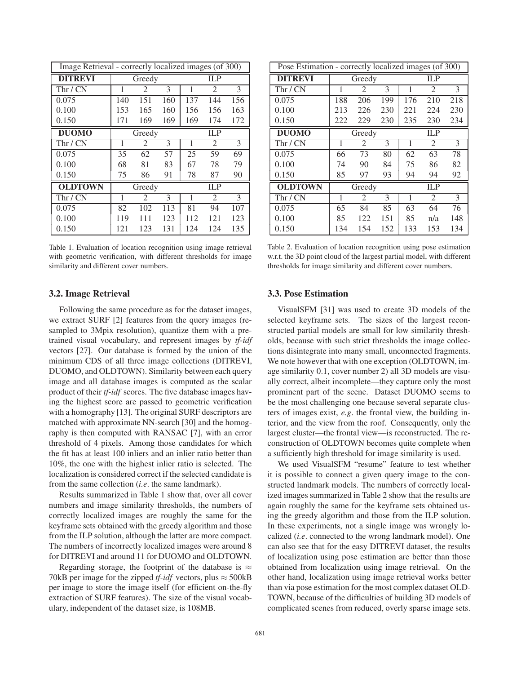| Image Retrieval - correctly localized images (of 300) |               |     |     |     |                |     |
|-------------------------------------------------------|---------------|-----|-----|-----|----------------|-----|
| <b>DITREVI</b>                                        | Greedy        |     |     |     | <b>ILP</b>     |     |
| Thr / CN                                              | 1             | 2   | 3   | 1   | 2              | 3   |
| 0.075                                                 | 140           | 151 | 160 | 137 | 144            | 156 |
| 0.100                                                 | 153           | 165 | 160 | 156 | 156            | 163 |
| 0.150                                                 | 171           | 169 | 169 | 169 | 174            | 172 |
| <b>DUOMO</b>                                          | ILP<br>Greedy |     |     |     |                |     |
| Thr / CN                                              | 1             | 2   | 3   | 1   | $\mathfrak{D}$ | 3   |
| 0.075                                                 | 35            | 62  | 57  | 25  | 59             | 69  |
| 0.100                                                 | 68            | 81  | 83  | 67  | 78             | 79  |
| 0.150                                                 | 75            | 86  | 91  | 78  | 87             | 90  |
| <b>OLDTOWN</b>                                        | Greedy        |     |     |     | ILP            |     |
| Thr / CN                                              | 1             | 2   | 3   | 1   | $\mathfrak{D}$ | 3   |
| 0.075                                                 | 82            | 102 | 113 | 81  | 94             | 107 |
| 0.100                                                 | 119           | 111 | 123 | 112 | 121            | 123 |
| 0.150                                                 | 121           | 123 | 131 | 124 | 124            | 135 |

Table 1. Evaluation of location recognition using image retrieval with geometric verification, with different thresholds for image similarity and different cover numbers.

### **3.2. Image Retrieval**

Following the same procedure as for the dataset images, we extract SURF [2] features from the query images (resampled to 3Mpix resolution), quantize them with a pretrained visual vocabulary, and represent images by *tf-idf* vectors [27]. Our database is formed by the union of the minimum CDS of all three image collections (DITREVI, DUOMO, and OLDTOWN). Similarity between each query image and all database images is computed as the scalar product of their *tf-idf* scores. The five database images having the highest score are passed to geometric verification with a homography [13]. The original SURF descriptors are matched with approximate NN-search [30] and the homography is then computed with RANSAC [7], with an error threshold of 4 pixels. Among those candidates for which the fit has at least 100 inliers and an inlier ratio better than 10%, the one with the highest inlier ratio is selected. The localization is considered correct if the selected candidate is from the same collection (*i.e*. the same landmark).

Results summarized in Table 1 show that, over all cover numbers and image similarity thresholds, the numbers of correctly localized images are roughly the same for the keyframe sets obtained with the greedy algorithm and those from the ILP solution, although the latter are more compact. The numbers of incorrectly localized images were around 8 for DITREVI and around 11 for DUOMO and OLDTOWN.

Regarding storage, the footprint of the database is  $\approx$ 70kB per image for the zipped *tf-idf* vectors, plus  $\approx$  500kB per image to store the image itself (for efficient on-the-fly extraction of SURF features). The size of the visual vocabulary, independent of the dataset size, is 108MB.

| Pose Estimation - correctly localized images (of 300) |               |                             |     |            |                |     |  |
|-------------------------------------------------------|---------------|-----------------------------|-----|------------|----------------|-----|--|
| <b>DITREVI</b>                                        |               | Greedy                      |     | <b>ILP</b> |                |     |  |
| Thr / CN                                              | 1             | $\mathcal{D}_{\mathcal{L}}$ | 3   | 1          | $\mathfrak{D}$ | 3   |  |
| 0.075                                                 | 188           | 206                         | 199 | 176        | 210            | 218 |  |
| 0.100                                                 | 213           | 226                         | 230 | 221        | 224            | 230 |  |
| 0.150                                                 | 222           | 229                         | 230 | 235        | 230            | 234 |  |
| <b>DUOMO</b>                                          | ILP<br>Greedy |                             |     |            |                |     |  |
| Thr / CN                                              | 1             | 2                           | 3   | 1          | 2              | 3   |  |
| 0.075                                                 | 66            | 73                          | 80  | 62         | 63             | 78  |  |
| 0.100                                                 | 74            | 90                          | 84  | 75         | 86             | 82  |  |
| 0.150                                                 | 85            | 97                          | 93  | 94         | 94             | 92  |  |
| <b>OLDTOWN</b>                                        | Greedy        |                             |     | IL P       |                |     |  |
| Thr / CN                                              | 1             | 2                           | 3   | 1          | 2              | 3   |  |
| 0.075                                                 | 65            | 84                          | 85  | 63         | 64             | 76  |  |
| 0.100                                                 | 85            | 122                         | 151 | 85         | n/a            | 148 |  |
| 0.150                                                 | 134           | 154                         | 152 | 133        | 153            | 134 |  |

Table 2. Evaluation of location recognition using pose estimation w.r.t. the 3D point cloud of the largest partial model, with different thresholds for image similarity and different cover numbers.

#### **3.3. Pose Estimation**

VisualSFM [31] was used to create 3D models of the selected keyframe sets. The sizes of the largest reconstructed partial models are small for low similarity thresholds, because with such strict thresholds the image collections disintegrate into many small, unconnected fragments. We note however that with one exception (OLDTOWN, image similarity 0.1, cover number 2) all 3D models are visually correct, albeit incomplete—they capture only the most prominent part of the scene. Dataset DUOMO seems to be the most challenging one because several separate clusters of images exist, *e.g*. the frontal view, the building interior, and the view from the roof. Consequently, only the largest cluster—the frontal view—is reconstructed. The reconstruction of OLDTOWN becomes quite complete when a sufficiently high threshold for image similarity is used.

We used VisualSFM "resume" feature to test whether it is possible to connect a given query image to the constructed landmark models. The numbers of correctly localized images summarized in Table 2 show that the results are again roughly the same for the keyframe sets obtained using the greedy algorithm and those from the ILP solution. In these experiments, not a single image was wrongly localized (*i.e*. connected to the wrong landmark model). One can also see that for the easy DITREVI dataset, the results of localization using pose estimation are better than those obtained from localization using image retrieval. On the other hand, localization using image retrieval works better than via pose estimation for the most complex dataset OLD-TOWN, because of the difficulties of building 3D models of complicated scenes from reduced, overly sparse image sets.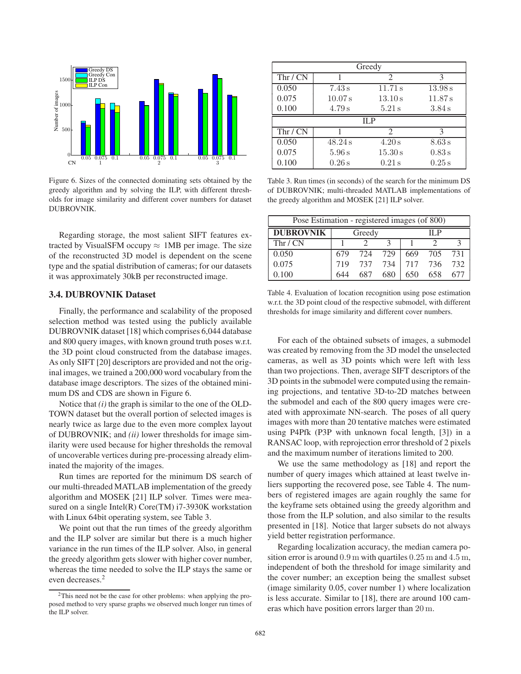

Figure 6. Sizes of the connected dominating sets obtained by the greedy algorithm and by solving the ILP, with different thresholds for image similarity and different cover numbers for dataset DUBROVNIK.

Regarding storage, the most salient SIFT features extracted by VisualSFM occupy  $\approx$  1MB per image. The size of the reconstructed 3D model is dependent on the scene type and the spatial distribution of cameras; for our datasets it was approximately 30kB per reconstructed image.

### **3.4. DUBROVNIK Dataset**

Finally, the performance and scalability of the proposed selection method was tested using the publicly available DUBROVNIK dataset [18] which comprises 6,044 database and 800 query images, with known ground truth poses w.r.t. the 3D point cloud constructed from the database images. As only SIFT [20] descriptors are provided and not the original images, we trained a 200,000 word vocabulary from the database image descriptors. The sizes of the obtained minimum DS and CDS are shown in Figure 6.

Notice that *(i)* the graph is similar to the one of the OLD-TOWN dataset but the overall portion of selected images is nearly twice as large due to the even more complex layout of DUBROVNIK; and *(ii)* lower thresholds for image similarity were used because for higher thresholds the removal of uncoverable vertices during pre-processing already eliminated the majority of the images.

Run times are reported for the minimum DS search of our multi-threaded MATLAB implementation of the greedy algorithm and MOSEK [21] ILP solver. Times were measured on a single Intel(R) Core(TM) i7-3930K workstation with Linux 64bit operating system, see Table 3.

We point out that the run times of the greedy algorithm and the ILP solver are similar but there is a much higher variance in the run times of the ILP solver. Also, in general the greedy algorithm gets slower with higher cover number, whereas the time needed to solve the ILP stays the same or even decreases.<sup>2</sup>

| Greedy     |         |               |         |  |  |  |
|------------|---------|---------------|---------|--|--|--|
| Thr / CN   |         | 2             | 3       |  |  |  |
| 0.050      | 7.43 s  | 11.71 s       | 13.98 s |  |  |  |
| 0.075      | 10.07 s | 13.10 s       | 11.87 s |  |  |  |
| 0.100      | 4.79 s  | $5.21$ s      | 3.84 s  |  |  |  |
| <b>ILP</b> |         |               |         |  |  |  |
| Thr / CN   |         | $\mathcal{L}$ | 3       |  |  |  |
| 0.050      | 48.24 s | 4.20 s        | 8.63 s  |  |  |  |
| 0.075      | 5.96 s  | 15.30 s       | 0.83 s  |  |  |  |
| 0.100      | 0.26s   | $0.21$ s      | 0.25s   |  |  |  |

Table 3. Run times (in seconds) of the search for the minimum DS of DUBROVNIK; multi-threaded MATLAB implementations of the greedy algorithm and MOSEK [21] ILP solver.

| Pose Estimation - registered images (of 800) |                |     |     |     |     |     |  |  |
|----------------------------------------------|----------------|-----|-----|-----|-----|-----|--|--|
| <b>DUBROVNIK</b>                             | Greedy<br>IL P |     |     |     |     |     |  |  |
| Thr / CN                                     |                |     |     |     |     |     |  |  |
| 0.050                                        | 679            | 724 | 729 | 669 | 705 | 731 |  |  |
| 0.075                                        | 719            | 737 | 734 | 717 | 736 | 732 |  |  |
| 0.100                                        |                | 687 | 680 | 650 | 658 |     |  |  |

Table 4. Evaluation of location recognition using pose estimation w.r.t. the 3D point cloud of the respective submodel, with different thresholds for image similarity and different cover numbers.

For each of the obtained subsets of images, a submodel was created by removing from the 3D model the unselected cameras, as well as 3D points which were left with less than two projections. Then, average SIFT descriptors of the 3D points in the submodel were computed using the remaining projections, and tentative 3D-to-2D matches between the submodel and each of the 800 query images were created with approximate NN-search. The poses of all query images with more than 20 tentative matches were estimated using P4Pfk (P3P with unknown focal length, [3]) in a RANSAC loop, with reprojection error threshold of 2 pixels and the maximum number of iterations limited to 200.

We use the same methodology as [18] and report the number of query images which attained at least twelve inliers supporting the recovered pose, see Table 4. The numbers of registered images are again roughly the same for the keyframe sets obtained using the greedy algorithm and those from the ILP solution, and also similar to the results presented in [18]. Notice that larger subsets do not always yield better registration performance.

Regarding localization accuracy, the median camera position error is around 0*.*9 m with quartiles 0*.*25 m and 4*.*5 m, independent of both the threshold for image similarity and the cover number; an exception being the smallest subset (image similarity 0.05, cover number 1) where localization is less accurate. Similar to [18], there are around 100 cameras which have position errors larger than 20 m.

 $2$ This need not be the case for other problems: when applying the proposed method to very sparse graphs we observed much longer run times of the ILP solver.